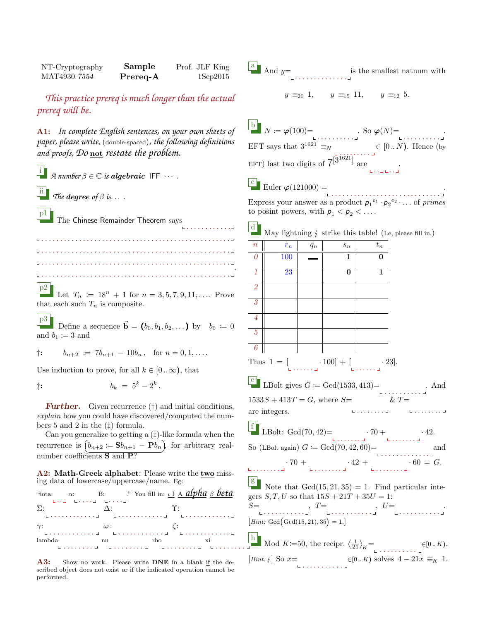| NT-Cryptography | Sample     | Prof. JLF King |
|-----------------|------------|----------------|
| MAT4930 7554    | $Prereq-A$ | $1$ Sep $2015$ |

*This practice prereq is much longer than the actual prereq will be.*

A1: *In complete English sentences, on your own sheets of paper, please write,* (double-spaced)*, the following definitions and proofs, Do* not *restate the problem.*

 $\Box$  *A* number  $\beta \in \mathbb{C}$  is algebraic IFF  $\cdots$ .

 $\begin{bmatrix} \n\text{ii} \\
\text{The degree of } \beta \text{ is} \dots \n\end{bmatrix}$ 

p1

The Chinese Remainder Theorem says

. . . . . . . . . . . . . . . . . . . . . . . . . . . . . . . . . . . . . . . . . . . . . . . . . . . . . . . . . . . . . . . . . . . . . . . . . . . . . . . . . . . . . . . . . . . . . . . . . . . . . . . . . . . . . . . . . . . . . . . . . . . . . . . . . . . . . . . . . . . . . . . . . . . . . . . . . . . . . . . . . . . . . . . . . . . . . . . . . . . . . . . . . . . . . . . . . . . . . . . . .

.<br>1 . . . . . . . . . . . . . . . . 1

 $\mathbb{P}^2$  Let  $T_n := 18^n + 1$  for  $n = 3, 5, 7, 9, 11, \ldots$  Prove that each such  $T_n$  is composite.

 $\boxed{p3}$ Define a sequence  $\vec{\mathbf{b}} = (b_0, b_1, b_2, ...)$  by  $b_0 := 0$ and  $b_1 := 3$  and

 $\ddagger$ :  $b_{n+2} := 7b_{n+1} - 10b_n$ , for  $n = 0, 1, \ldots$ .

Use induction to prove, for all  $k \in [0..\infty)$ , that

 $\ddagger$ :  $b_k = 5^k - 2^k$ .

**Further.** Given recurrence  $(\dagger)$  and initial conditions, explain how you could have discovered/computed the numbers 5 and 2 in the (‡) formula.

Can you generalize to getting a  $(\ddagger)$ -like formula when the recurrence is  $\overline{b}$ ✝ ።<br>'  $b_{n+2} := \mathbf{S}b_{n+1} - \mathbf{P}b_n$ , for arbitrary real-<br>onta  $\mathbf{S}$  and  $\mathbf{D}^2$ number coefficients **S** and **P**?

A2: Math-Greek alphabet: Please write the two missing data of lowercase/uppercase/name. Eg:

|            |                               | "iota: $\alpha$ : B: "You fill in: <u>LI A alpha <math>\beta</math> beta</u> .                                         |    |
|------------|-------------------------------|------------------------------------------------------------------------------------------------------------------------|----|
| $\Sigma$ : |                               | $\gamma$ .                                                                                                             |    |
|            |                               | المستحدث والمستحدث والمستحدث والمستحدث والمستحدث والمستحدث والمستحدث والمستحدث والمستحدث والمستحدث والمستحدث والمستحدث |    |
| $\gamma$ : | $\omega$ : $\qquad \qquad$ (: |                                                                                                                        |    |
|            |                               |                                                                                                                        |    |
| lambda     | nu rho                        |                                                                                                                        | xi |
|            |                               | becomes a communication of the communication of the communication of the communication of the communication of         |    |

A3: Show no work. Please write DNE in a blank if the described object does not exist or if the indicated operation cannot be performed.

$$
\boxed{\text{a}} \quad \text{And } y = \boxed{\text{is the smallest natnum with}}
$$

 $y \equiv_{20} 1$ ,  $y \equiv_{15} 11$ ,  $y \equiv_{12} 5$ .

|                           |                                                         |       |       |          | $\begin{aligned} \boxed{\text{b}} & N := \varphi(100) = \text{EFT} \text{ says that } 3^{1621} =_{N} \in [0N). \text{ Hence (by} \\ \text{EFT) last two digits of } 7^{[3^{1621}]}\text{ are} \end{aligned}$ |  |
|---------------------------|---------------------------------------------------------|-------|-------|----------|--------------------------------------------------------------------------------------------------------------------------------------------------------------------------------------------------------------|--|
|                           | Euler $\varphi(121000) =$                               |       |       |          |                                                                                                                                                                                                              |  |
|                           |                                                         |       |       |          | Express your answer as a product $p_1^{e_1} \cdot p_2^{e_2} \cdot \ldots$ of <i>primes</i>                                                                                                                   |  |
|                           | to posint powers, with $p_1 < p_2 < \ldots$ .           |       |       |          |                                                                                                                                                                                                              |  |
| ${\bf d}$                 |                                                         |       |       |          | May lightning $\frac{1}{4}$ strike this table! (I.e, please fill in.)                                                                                                                                        |  |
| $\it n$                   | $r_n$                                                   | $q_n$ | $s_n$ | $t_n$    |                                                                                                                                                                                                              |  |
| $\theta$                  | 100                                                     |       | 1     | $\bf{0}$ |                                                                                                                                                                                                              |  |
| 1                         | 23                                                      |       | 0     | 1        |                                                                                                                                                                                                              |  |
| $\overline{2}$            |                                                         |       |       |          |                                                                                                                                                                                                              |  |
| $\overline{\mathfrak{z}}$ |                                                         |       |       |          |                                                                                                                                                                                                              |  |
| $\overline{4}$            |                                                         |       |       |          |                                                                                                                                                                                                              |  |
| $\overline{5}$            |                                                         |       |       |          |                                                                                                                                                                                                              |  |
| 6                         |                                                         |       |       |          |                                                                                                                                                                                                              |  |
|                           | Thus $1 = [\tcdot 100] + [\tcdot \tcdot 23].$           |       |       |          |                                                                                                                                                                                                              |  |
|                           |                                                         |       |       |          |                                                                                                                                                                                                              |  |
|                           | LBolt gives $G \coloneqq \text{Gcd}(1533, 413)$ =       |       |       |          | . And                                                                                                                                                                                                        |  |
|                           | $1533S + 413T = G$ , where $S=$<br>are integers.        |       |       |          | $& T =$                                                                                                                                                                                                      |  |
|                           |                                                         |       |       |          |                                                                                                                                                                                                              |  |
|                           | LBolt: Gcd(70,42)=<br>$\cdot$ 70 +                      |       |       |          | $\cdot$ 42.                                                                                                                                                                                                  |  |
|                           | So (LBolt again) $G \coloneqq \text{Gcd}(70, 42, 60) =$ |       |       |          | and<br>.                                                                                                                                                                                                     |  |
|                           | .                                                       |       |       |          | $\cdot 70 + \cdot 42 + \cdot 60 = G.$                                                                                                                                                                        |  |
| $\frac{g}{\Box}$          |                                                         |       |       |          | Note that $Gcd(15,21,35) = 1$ . Find particular inte-                                                                                                                                                        |  |
|                           | gers $S, T, U$ so that $15S + 21T + 35U = 1$ :          |       |       |          |                                                                                                                                                                                                              |  |
|                           |                                                         |       |       |          | $S = \n\begin{matrix}\nT = \n\vdots\n\end{matrix}\n\begin{matrix}\nT = \n\vdots\n\end{matrix}\n\begin{matrix}\nU = \n\vdots\n\end{matrix}$<br>$[Hint: \text{Gcd}(\text{Gcd}(15, 21), 35) = 1.]$              |  |
|                           |                                                         |       |       |          |                                                                                                                                                                                                              |  |
|                           |                                                         |       |       |          |                                                                                                                                                                                                              |  |
|                           |                                                         |       |       |          | Mod $K := 50$ , the recipr. $\left\langle \frac{1}{21} \right\rangle_K =$ $\in [0K)$ .<br>[ <i>Hint: {</i> ] So $x =$ $\in [0K)$ solves $4 - 21x =_K 1$ .                                                    |  |